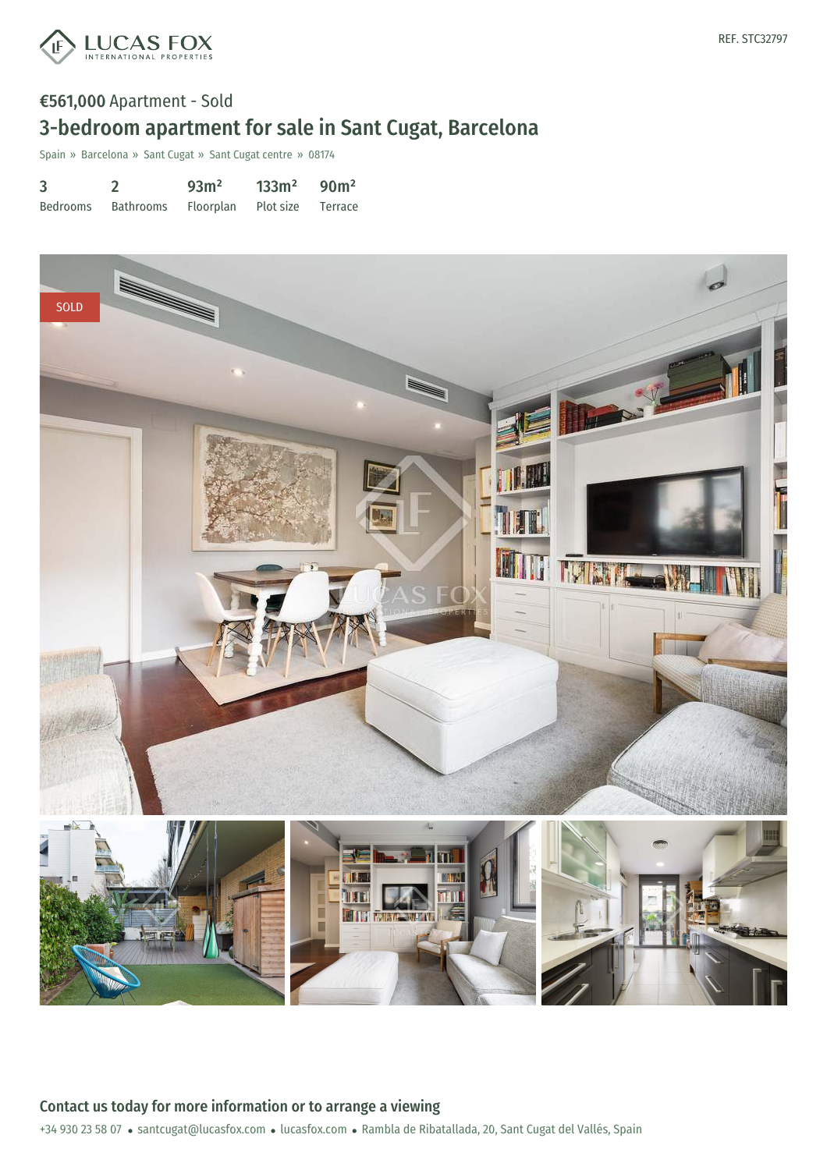

# €561,000 Apartment - Sold 3-bedroom apartment for sale in Sant Cugat, Barcelona

Spain » Barcelona » Sant Cugat » Sant Cugat centre » 08174

| 3        |                                       | 93m <sup>2</sup> | $133m^2$ 90m <sup>2</sup> |  |
|----------|---------------------------------------|------------------|---------------------------|--|
| Bedrooms | Bathrooms Floorplan Plot size Terrace |                  |                           |  |



+34 930 23 58 07 · santcugat@lucasfox.com · lucasfox.com · Rambla de Ribatallada, 20, Sant Cugat del Vallés, Spain Contact us today for more information or to arrange a viewing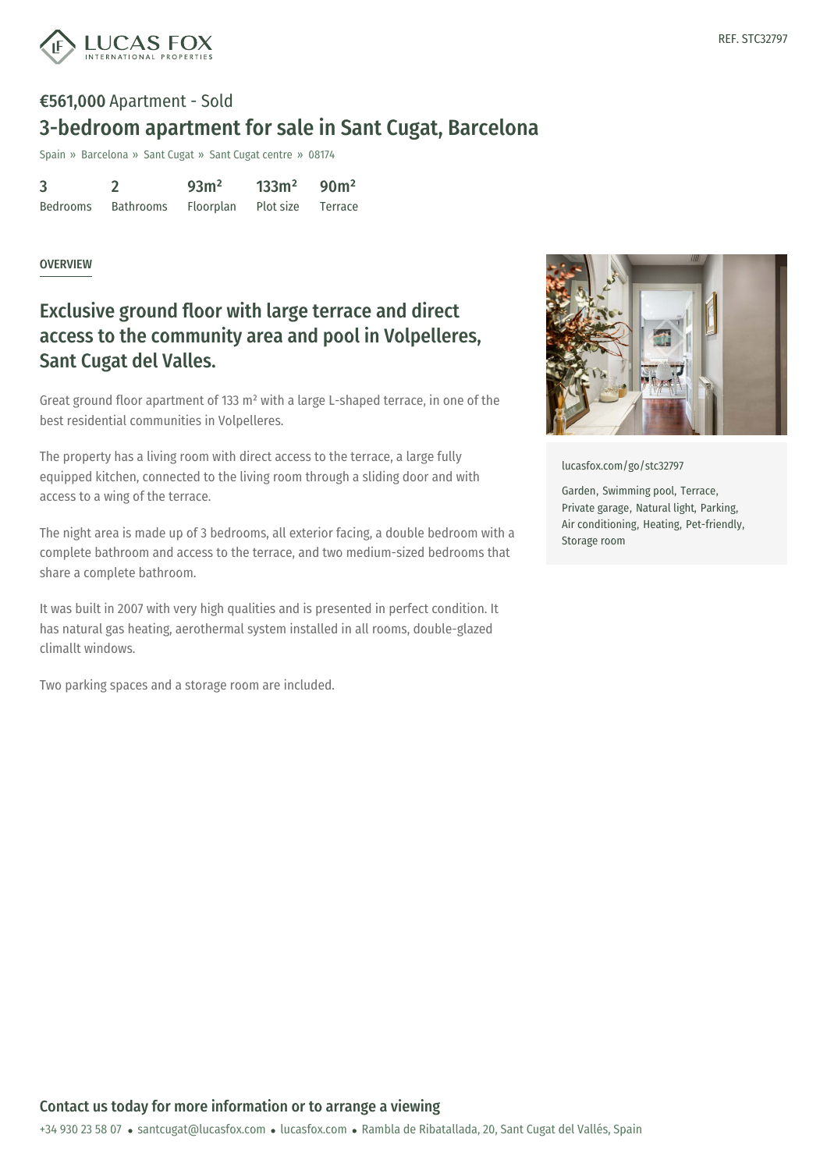

# €561,000 Apartment - Sold 3-bedroom apartment for sale in Sant Cugat, Barcelona

Spain » Barcelona » Sant Cugat » Sant Cugat centre » 08174

| 3        |           | 93 <sup>m²</sup>            | $133m^2$ 90m <sup>2</sup> |  |
|----------|-----------|-----------------------------|---------------------------|--|
| Bedrooms | Bathrooms | Floorplan Plot size Terrace |                           |  |

#### OVERVIEW

## Exclusive ground floor with large terrace and direct access to the community area and pool in Volpelleres, Sant Cugat del Valles.

Great ground floor apartment of 133 m² with a large L-shaped terrace, in one of the best residential communities in Volpelleres.

The property has a living room with direct access to the terrace, a large fully equipped kitchen, connected to the living room through a sliding door and with access to a wing of the terrace.

The night area is made up of 3 bedrooms, all exterior facing, a double bedroom with a complete bathroom and access to the terrace, and two medium-sized bedrooms that share a complete bathroom.

It was built in 2007 with very high qualities and is presented in perfect condition. It has natural gas heating, aerothermal system installed in all rooms, double-glazed climallt windows.

Two parking spaces and a storage room are included.



[lucasfox.com/go/stc32797](https://www.lucasfox.com/go/stc32797)

Garden, Swimming pool, Terrace, Private garage, Natural light, Parking, Air conditioning, Heating, Pet-friendly, Storage room